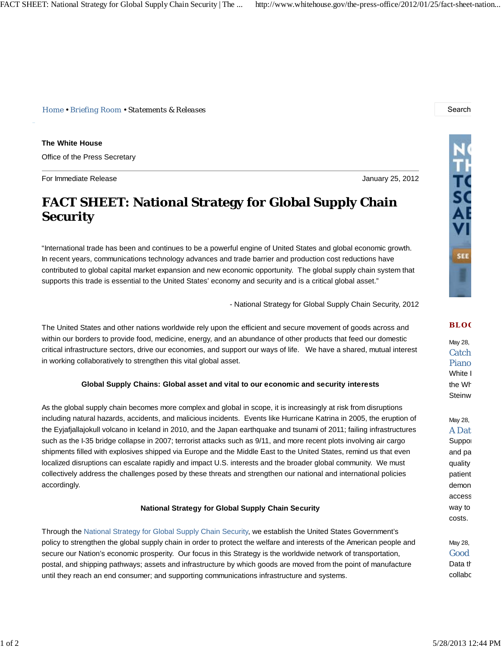*Home • Briefing Room • Statements & Releases* Search

**The White House** Office of the Press Secretary

For Immediate Release January 25, 2012

# **FACT SHEET: National Strategy for Global Supply Chain Security**

"International trade has been and continues to be a powerful engine of United States and global economic growth. In recent years, communications technology advances and trade barrier and production cost reductions have contributed to global capital market expansion and new economic opportunity. The global supply chain system that supports this trade is essential to the United States' economy and security and is a critical global asset."

- National Strategy for Global Supply Chain Security, 2012

The United States and other nations worldwide rely upon the efficient and secure movement of goods across and within our borders to provide food, medicine, energy, and an abundance of other products that feed our domestic critical infrastructure sectors, drive our economies, and support our ways of life. We have a shared, mutual interest in working collaboratively to strengthen this vital global asset.

## **Global Supply Chains: Global asset and vital to our economic and security interests**

As the global supply chain becomes more complex and global in scope, it is increasingly at risk from disruptions including natural hazards, accidents, and malicious incidents. Events like Hurricane Katrina in 2005, the eruption of the Eyjafjallajokull volcano in Iceland in 2010, and the Japan earthquake and tsunami of 2011; failing infrastructures such as the I-35 bridge collapse in 2007; terrorist attacks such as 9/11, and more recent plots involving air cargo shipments filled with explosives shipped via Europe and the Middle East to the United States, remind us that even localized disruptions can escalate rapidly and impact U.S. interests and the broader global community. We must collectively address the challenges posed by these threats and strengthen our national and international policies accordingly.

### **National Strategy for Global Supply Chain Security**

Through the National Strategy for Global Supply Chain Security, we establish the United States Government's policy to strengthen the global supply chain in order to protect the welfare and interests of the American people and secure our Nation's economic prosperity. Our focus in this Strategy is the worldwide network of transportation, postal, and shipping pathways; assets and infrastructure by which goods are moved from the point of manufacture until they reach an end consumer; and supporting communications infrastructure and systems.



### **BLO G**

May 28, Catch Piano White I the Wh **Steinw** 

May 28, **A** Dat

Suppor and pa quality patient demon access way to costs.

May 28, Good Data th collabo